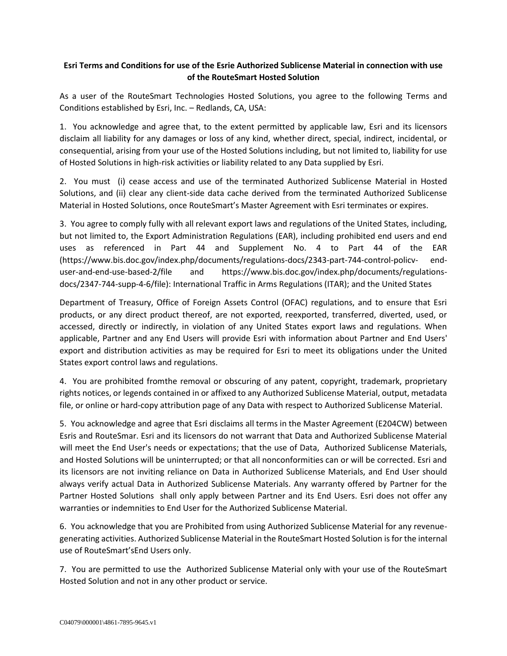## **Esri Terms and Conditions for use of the Esrie Authorized Sublicense Material in connection with use of the RouteSmart Hosted Solution**

As a user of the RouteSmart Technologies Hosted Solutions, you agree to the following Terms and Conditions established by Esri, Inc. – Redlands, CA, USA:

1. You acknowledge and agree that, to the extent permitted by applicable law, Esri and its licensors disclaim all liability for any damages or loss of any kind, whether direct, special, indirect, incidental, or consequential, arising from your use of the Hosted Solutions including, but not limited to, liability for use of Hosted Solutions in high-risk activities or liability related to any Data supplied by Esri.

2. You must (i) cease access and use of the terminated Authorized Sublicense Material in Hosted Solutions, and (ii) clear any client-side data cache derived from the terminated Authorized Sublicense Material in Hosted Solutions, once RouteSmart's Master Agreement with Esri terminates or expires.

3. You agree to comply fully with all relevant export laws and regulations of the United States, including, but not limited to, the Export Administration Regulations (EAR), including prohibited end users and end uses as referenced in Part 44 and Supplement No. 4 to Part 44 of the EAR (https://www.bis.doc.gov/index.php/documents/regulations-docs/2343-part-744-control-policv- enduser-and-end-use-based-2/file and https://www.bis.doc.gov/index.php/documents/regulationsdocs/2347-744-supp-4-6/file): International Traffic in Arms Regulations (ITAR); and the United States

Department of Treasury, Office of Foreign Assets Control (OFAC) regulations, and to ensure that Esri products, or any direct product thereof, are not exported, reexported, transferred, diverted, used, or accessed, directly or indirectly, in violation of any United States export laws and regulations. When applicable, Partner and any End Users will provide Esri with information about Partner and End Users' export and distribution activities as may be required for Esri to meet its obligations under the United States export control laws and regulations.

4. You are prohibited fromthe removal or obscuring of any patent, copyright, trademark, proprietary rights notices, or legends contained in or affixed to any Authorized Sublicense Material, output, metadata file, or online or hard-copy attribution page of any Data with respect to Authorized Sublicense Material.

5. You acknowledge and agree that Esri disclaims all terms in the Master Agreement (E204CW) between Esris and RouteSmar. Esri and its licensors do not warrant that Data and Authorized Sublicense Material will meet the End User's needs or expectations; that the use of Data, Authorized Sublicense Materials, and Hosted Solutions will be uninterrupted; or that all nonconformities can or will be corrected. Esri and its licensors are not inviting reliance on Data in Authorized Sublicense Materials, and End User should always verify actual Data in Authorized Sublicense Materials. Any warranty offered by Partner for the Partner Hosted Solutions shall only apply between Partner and its End Users. Esri does not offer any warranties or indemnities to End User for the Authorized Sublicense Material.

6. You acknowledge that you are Prohibited from using Authorized Sublicense Material for any revenuegenerating activities. Authorized Sublicense Material in the RouteSmart Hosted Solution is for the internal use of RouteSmart'sEnd Users only.

7. You are permitted to use the Authorized Sublicense Material only with your use of the RouteSmart Hosted Solution and not in any other product or service.